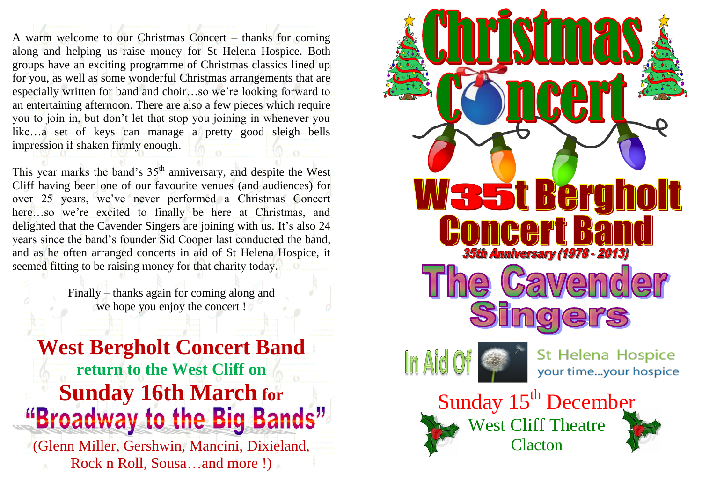A warm welcome to our Christmas Concert – thanks for coming along and helping us raise money for St Helena Hospice. Both groups have an exciting programme of Christmas classics lined up for you, as well as some wonderful Christmas arrangements that are especially written for band and choir…so we're looking forward to an entertaining afternoon. There are also a few pieces which require you to join in, but don't let that stop you joining in whenever you like…a set of keys can manage a pretty good sleigh bells impression if shaken firmly enough.

This year marks the band's 35<sup>th</sup> anniversary, and despite the West Cliff having been one of our favourite venues (and audiences) for over 25 years, we've never performed a Christmas Concert here…so we're excited to finally be here at Christmas, and delighted that the Cavender Singers are joining with us. It's also 24 years since the band's founder Sid Cooper last conducted the band, and as he often arranged concerts in aid of St Helena Hospice, it seemed fitting to be raising money for that charity today.

> Finally – thanks again for coming along and we hope you enjoy the concert !

**West Bergholt Concert Band return to the West Cliff on Sunday 16th March for**  "Broadway to the Big Bands"

(Glenn Miller, Gershwin, Mancini, Dixieland, Rock n Roll, Sousa...and more !)